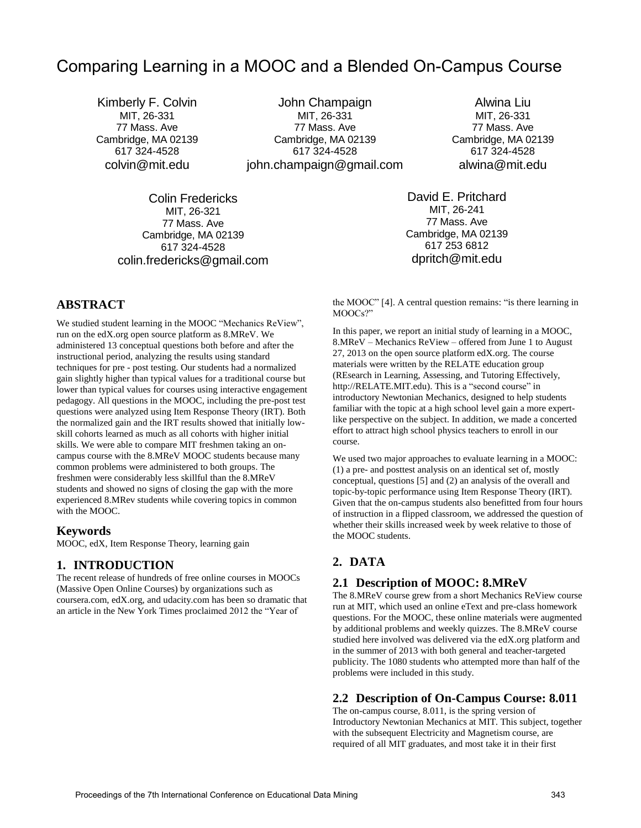# Comparing Learning in a MOOC and a Blended On-Campus Course

Kimberly F. Colvin MIT, 26-331 77 Mass. Ave Cambridge, MA 02139 617 324-4528 [colvin@mit.edu](mailto:kfcolvin@gmail.com)

> Colin Fredericks MIT, 26-321 77 Mass. Ave Cambridge, MA 02139 617 324-4528 colin.fredericks@gmail.com

John Champaign MIT, 26-331 77 Mass. Ave Cambridge, MA 02139 617 324-4528 john.champaign@gmail.com

Alwina Liu MIT, 26-331 77 Mass. Ave Cambridge, MA 02139 617 324-4528 [alwina@mit.edu](mailto:alwina@mit.edu)

David E. Pritchard MIT, 26-241 77 Mass. Ave Cambridge, MA 02139 617 253 6812 dpritch@mit.edu

**ABSTRACT**

We studied student learning in the MOOC "Mechanics ReView", run on the edX.org open source platform as 8.MReV. We administered 13 conceptual questions both before and after the instructional period, analyzing the results using standard techniques for pre - post testing. Our students had a normalized gain slightly higher than typical values for a traditional course but lower than typical values for courses using interactive engagement pedagogy. All questions in the MOOC, including the pre-post test questions were analyzed using Item Response Theory (IRT). Both the normalized gain and the IRT results showed that initially lowskill cohorts learned as much as all cohorts with higher initial skills. We were able to compare MIT freshmen taking an oncampus course with the 8.MReV MOOC students because many common problems were administered to both groups. The freshmen were considerably less skillful than the 8.MReV students and showed no signs of closing the gap with the more experienced 8.MRev students while covering topics in common with the MOOC.

#### **Keywords**

MOOC, edX, Item Response Theory, learning gain

#### **1. INTRODUCTION**

The recent release of hundreds of free online courses in MOOCs (Massive Open Online Courses) by organizations such as coursera.com, edX.org, and udacity.com has been so dramatic that an article in the New York Times proclaimed 2012 the "Year of

the MOOC" [4]. A central question remains: "is there learning in MOOCs?"

In this paper, we report an initial study of learning in a MOOC, 8.MReV – Mechanics ReView – offered from June 1 to August 27, 2013 on the open source platform edX.org. The course materials were written by the RELATE education group (REsearch in Learning, Assessing, and Tutoring Effectively, http://RELATE.MIT.edu). This is a "second course" in introductory Newtonian Mechanics, designed to help students familiar with the topic at a high school level gain a more expertlike perspective on the subject. In addition, we made a concerted effort to attract high school physics teachers to enroll in our course.

We used two major approaches to evaluate learning in a MOOC: (1) a pre- and posttest analysis on an identical set of, mostly conceptual, questions [5] and (2) an analysis of the overall and topic-by-topic performance using Item Response Theory (IRT). Given that the on-campus students also benefitted from four hours of instruction in a flipped classroom, we addressed the question of whether their skills increased week by week relative to those of the MOOC students.

#### **2. DATA**

#### **2.1 Description of MOOC: 8.MReV**

The 8.MReV course grew from a short Mechanics ReView course run at MIT, which used an online eText and pre-class homework questions. For the MOOC, these online materials were augmented by additional problems and weekly quizzes. The 8.MReV course studied here involved was delivered via the edX.org platform and in the summer of 2013 with both general and teacher-targeted publicity. The 1080 students who attempted more than half of the problems were included in this study.

#### **2.2 Description of On-Campus Course: 8.011**

The on-campus course, 8.011, is the spring version of Introductory Newtonian Mechanics at MIT. This subject, together with the subsequent Electricity and Magnetism course, are required of all MIT graduates, and most take it in their first